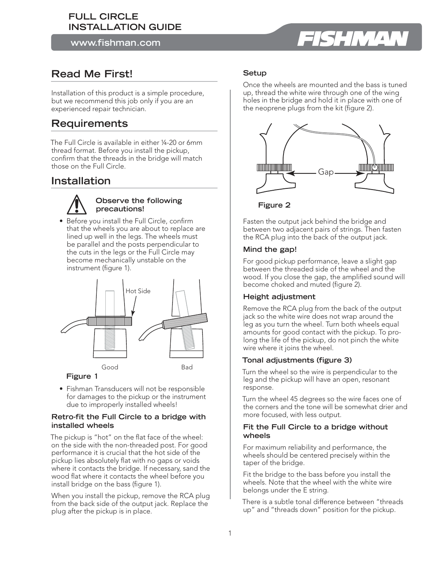# **FULL CIRCLE INSTALLATION GUIDE**

**www.fishman.com**

# **Read Me First!**

Installation of this product is a simple procedure, but we recommend this job only if you are an experienced repair technician.

# **Requirements**

The Full Circle is available in either ¼-20 or 6mm thread format. Before you install the pickup, confirm that the threads in the bridge will match those on the Full Circle.

# **Installation**



### **Observe the following precautions!**

• Before you install the Full Circle, confirm that the wheels you are about to replace are lined up well in the legs. The wheels must be parallel and the posts perpendicular to the cuts in the legs or the Full Circle may become mechanically unstable on the instrument (figure 1).



# **Figure 1**

• Fishman Transducers will not be responsible for damages to the pickup or the instrument due to improperly installed wheels!

#### **Retro-fit the Full Circle to a bridge with installed wheels**

The pickup is "hot" on the flat face of the wheel: on the side with the non-threaded post. For good performance it is crucial that the hot side of the pickup lies absolutely flat with no gaps or voids where it contacts the bridge. If necessary, sand the wood flat where it contacts the wheel before you install bridge on the bass (figure 1).

When you install the pickup, remove the RCA plug from the back side of the output jack. Replace the plug after the pickup is in place.

# **Setup**

Once the wheels are mounted and the bass is tuned up, thread the white wire through one of the wing holes in the bridge and hold it in place with one of the neoprene plugs from the kit (figure 2).



**Figure 2**

Fasten the output jack behind the bridge and between two adjacent pairs of strings. Then fasten the RCA plug into the back of the output jack.

# **Mind the gap!**

For good pickup performance, leave a slight gap between the threaded side of the wheel and the wood. If you close the gap, the amplified sound will become choked and muted (figure 2).

# **Height adjustment**

Remove the RCA plug from the back of the output jack so the white wire does not wrap around the leg as you turn the wheel. Turn both wheels equal amounts for good contact with the pickup. To prolong the life of the pickup, do not pinch the white wire where it joins the wheel.

# **Tonal adjustments (figure 3)**

Turn the wheel so the wire is perpendicular to the leg and the pickup will have an open, resonant response.

Turn the wheel 45 degrees so the wire faces one of the corners and the tone will be somewhat drier and more focused, with less output.

### **Fit the Full Circle to a bridge without wheels**

For maximum reliability and performance, the wheels should be centered precisely within the taper of the bridge.

Fit the bridge to the bass before you install the wheels. Note that the wheel with the white wire belongs under the E string.

There is a subtle tonal difference between "threads up" and "threads down" position for the pickup.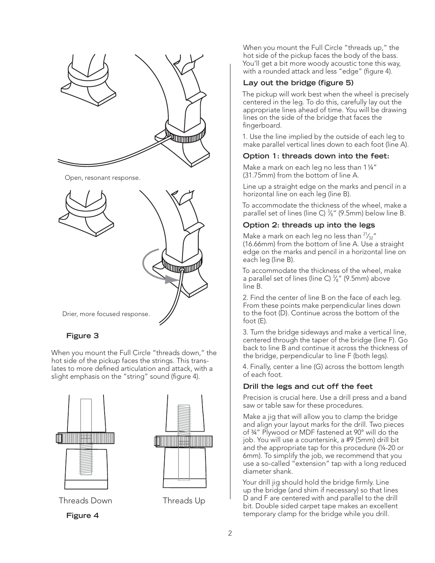

Open, resonant response.



# **Figure 3**

When you mount the Full Circle "threads down," the hot side of the pickup faces the strings. This translates to more defined articulation and attack, with a slight emphasis on the "string" sound (figure 4).





Threads Down Threads Up

**Figure 4**

When you mount the Full Circle "threads up," the hot side of the pickup faces the body of the bass. You'll get a bit more woody acoustic tone this way, with a rounded attack and less "edge" (figure 4).

#### Lay out the bridge (figure 5)

The pickup will work best when the wheel is precisely centered in the leg. To do this, carefully lay out the appropriate lines ahead of time. You will be drawing lines on the side of the bridge that faces the fingerboard.

1. Use the line implied by the outside of each leg to make parallel vertical lines down to each foot (line A).

#### **Option 1: threads down into the feet:**

Make a mark on each leg no less than 1 1/4" (31.75mm) from the bottom of line A.

Line up a straight edge on the marks and pencil in a horizontal line on each leg (line B).

To accommodate the thickness of the wheel, make a parallel set of lines (line C)  $\frac{3}{8}$ " (9.5mm) below line B.

#### **Option 2: threads up into the legs**

Make a mark on each leg no less than  $2\frac{1}{32}$ " (16.66mm) from the bottom of line A. Use a straight edge on the marks and pencil in a horizontal line on each leg (line B).

To accommodate the thickness of the wheel, make a parallel set of lines (line C)  $\frac{3}{8}$ " (9.5mm) above line B.

2. Find the center of line B on the face of each leg. From these points make perpendicular lines down to the foot (D). Continue across the bottom of the foot (E).

3. Turn the bridge sideways and make a vertical line, centered through the taper of the bridge (line F). Go back to line B and continue it across the thickness of the bridge, perpendicular to line F (both legs).

4. Finally, center a line (G) across the bottom length of each foot.

#### **Drill the legs and cut off the feet**

Precision is crucial here. Use a drill press and a band saw or table saw for these procedures.

Make a jig that will allow you to clamp the bridge and align your layout marks for the drill. Two pieces of ¾" Plywood or MDF fastened at 90° will do the job. You will use a countersink, a #9 (5mm) drill bit and the appropriate tap for this procedure (¼-20 or 6mm). To simplify the job, we recommend that you use a so-called "extension" tap with a long reduced diameter shank.

Your drill jig should hold the bridge firmly. Line up the bridge (and shim if necessary) so that lines D and F are centered with and parallel to the drill bit. Double sided carpet tape makes an excellent temporary clamp for the bridge while you drill.